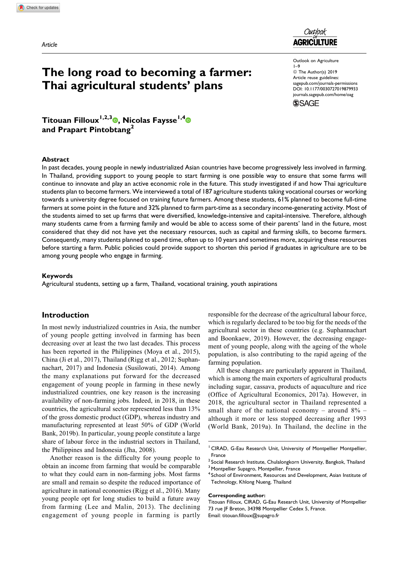

Outlook on Agriculture 1–9 © The Author(s) 2019 Article reuse guidelines: [sagepub.com/journals-permissions](https://sagepub.com/journals-permissions)

[DOI: 10.1177/0030727019879933](https://doi.org/10.1177/0030727019879933)

[journals.sagepub.com/home/oag](http://journals.sagepub.com/home/oag)**SSAGE** 

Titouan Filloux<sup>1[,](https://orcid.org/0000-0002-3577-7368)2,3</sup><sup>0</sup>, Nicolas Faysse<sup>1,4</sup><sup>0</sup> and Prapart Pintobtang<sup>2</sup>

The long road to becoming a farmer:

Thai agricultural students' plans

### Abstract

In past decades, young people in newly industrialized Asian countries have become progressively less involved in farming. In Thailand, providing support to young people to start farming is one possible way to ensure that some farms will continue to innovate and play an active economic role in the future. This study investigated if and how Thai agriculture students plan to become farmers. We interviewed a total of 187 agriculture students taking vocational courses or working towards a university degree focused on training future farmers. Among these students, 61% planned to become full-time farmers at some point in the future and 32% planned to farm part-time as a secondary income-generating activity. Most of the students aimed to set up farms that were diversified, knowledge-intensive and capital-intensive. Therefore, although many students came from a farming family and would be able to access some of their parents' land in the future, most considered that they did not have yet the necessary resources, such as capital and farming skills, to become farmers. Consequently, many students planned to spend time, often up to 10 years and sometimes more, acquiring these resources before starting a farm. Public policies could provide support to shorten this period if graduates in agriculture are to be among young people who engage in farming.

### Keywords

Agricultural students, setting up a farm, Thailand, vocational training, youth aspirations

### Introduction

In most newly industrialized countries in Asia, the number of young people getting involved in farming has been decreasing over at least the two last decades. This process has been reported in the Philippines (Moya et al., 2015), China (Ji et al., 2017), Thailand (Rigg et al., 2012; Suphannachart, 2017) and Indonesia (Susilowati, 2014). Among the many explanations put forward for the decreased engagement of young people in farming in these newly industrialized countries, one key reason is the increasing availability of non-farming jobs. Indeed, in 2018, in these countries, the agricultural sector represented less than 13% of the gross domestic product (GDP), whereas industry and manufacturing represented at least 50% of GDP (World Bank, 2019b). In particular, young people constitute a large share of labour force in the industrial sectors in Thailand, the Philippines and Indonesia (Jha, 2008).

Another reason is the difficulty for young people to obtain an income from farming that would be comparable to what they could earn in non-farming jobs. Most farms are small and remain so despite the reduced importance of agriculture in national economies (Rigg et al., 2016). Many young people opt for long studies to build a future away from farming (Lee and Malin, 2013). The declining engagement of young people in farming is partly

responsible for the decrease of the agricultural labour force, which is regularly declared to be too big for the needs of the agricultural sector in these countries (e.g. Suphannachart and Boonkaew, 2019). However, the decreasing engagement of young people, along with the ageing of the whole population, is also contributing to the rapid ageing of the farming population.

All these changes are particularly apparent in Thailand, which is among the main exporters of agricultural products including sugar, cassava, products of aquaculture and rice (Office of Agricultural Economics, 2017a). However, in 2018, the agricultural sector in Thailand represented a small share of the national economy – around  $8\%$  – although it more or less stopped decreasing after 1993 (World Bank, 2019a). In Thailand, the decline in the

#### Corresponding author:

<sup>&</sup>lt;sup>1</sup> CIRAD, G-Eau Research Unit, University of Montpellier Montpellier, France

<sup>2</sup> Social Research Institute, Chulalongkorn University, Bangkok, Thailand <sup>3</sup> Montpellier Supagro, Montpellier, France

<sup>4</sup> School of Environment, Resources and Development, Asian Institute of Technology, Khlong Nueng, Thailand

Titouan Filloux, CIRAD, G-Eau Research Unit, University of Montpellier 73 rue JF Breton, 34398 Montpellier Cedex 5, France. Email: [titouan.filloux@supagro.fr](mailto:titouan.filloux@supagro.fr)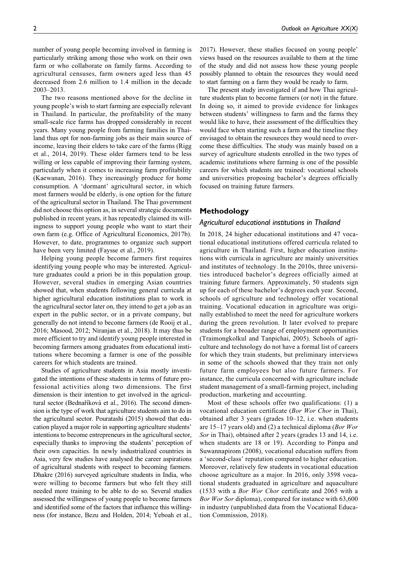number of young people becoming involved in farming is particularly striking among those who work on their own farm or who collaborate on family farms. According to agricultural censuses, farm owners aged less than 45 decreased from 2.6 million to 1.4 million in the decade 2003–2013.

The two reasons mentioned above for the decline in young people's wish to start farming are especially relevant in Thailand. In particular, the profitability of the many small-scale rice farms has dropped considerably in recent years. Many young people from farming families in Thailand thus opt for non-farming jobs as their main source of income, leaving their elders to take care of the farms (Rigg et al., 2014, 2019). These older farmers tend to be less willing or less capable of improving their farming system, particularly when it comes to increasing farm profitability (Kaewanan, 2016). They increasingly produce for home consumption. A 'dormant' agricultural sector, in which most farmers would be elderly, is one option for the future of the agricultural sector in Thailand. The Thai government did not choose this option as, in several strategic documents published in recent years, it has repeatedly claimed its willingness to support young people who want to start their own farm (e.g. Office of Agricultural Economics, 2017b). However, to date, programmes to organize such support have been very limited (Faysse et al., 2019).

Helping young people become farmers first requires identifying young people who may be interested. Agriculture graduates could a priori be in this population group. However, several studies in emerging Asian countries showed that, when students following general curricula at higher agricultural education institutions plan to work in the agricultural sector later on, they intend to get a job as an expert in the public sector, or in a private company, but generally do not intend to become farmers (de Rooij et al., 2016; Masood, 2012; Niranjan et al., 2018). It may thus be more efficient to try and identify young people interested in becoming farmers among graduates from educational institutions where becoming a farmer is one of the possible careers for which students are trained.

Studies of agriculture students in Asia mostly investigated the intentions of these students in terms of future professional activities along two dimensions. The first dimension is their intention to get involved in the agricultural sector (Bednaříková et al., 2016). The second dimension is the type of work that agriculture students aim to do in the agricultural sector. Pouratashi (2015) showed that education played a major role in supporting agriculture students' intentions to become entrepreneurs in the agricultural sector, especially thanks to improving the students' perception of their own capacities. In newly industrialized countries in Asia, very few studies have analysed the career aspirations of agricultural students with respect to becoming farmers. Dhakre (2016) surveyed agriculture students in India, who were willing to become farmers but who felt they still needed more training to be able to do so. Several studies assessed the willingness of young people to become farmers and identified some of the factors that influence this willingness (for instance, Bezu and Holden, 2014; Yeboah et al.,

2017). However, these studies focused on young people' views based on the resources available to them at the time of the study and did not assess how these young people possibly planned to obtain the resources they would need to start farming on a farm they would be ready to farm.

The present study investigated if and how Thai agriculture students plan to become farmers (or not) in the future. In doing so, it aimed to provide evidence for linkages between students' willingness to farm and the farms they would like to have, their assessment of the difficulties they would face when starting such a farm and the timeline they envisaged to obtain the resources they would need to overcome these difficulties. The study was mainly based on a survey of agriculture students enrolled in the two types of academic institutions where farming is one of the possible careers for which students are trained: vocational schools and universities proposing bachelor's degrees officially focused on training future farmers.

## Methodology

### Agricultural educational institutions in Thailand

In 2018, 24 higher educational institutions and 47 vocational educational institutions offered curricula related to agriculture in Thailand. First, higher education institutions with curricula in agriculture are mainly universities and institutes of technology. In the 2010s, three universities introduced bachelor's degrees officially aimed at training future farmers. Approximately, 50 students sign up for each of these bachelor's degrees each year. Second, schools of agriculture and technology offer vocational training. Vocational education in agriculture was originally established to meet the need for agriculture workers during the green revolution. It later evolved to prepare students for a broader range of employment opportunities (Traimongkolkul and Tanpichai, 2005). Schools of agriculture and technology do not have a formal list of careers for which they train students, but preliminary interviews in some of the schools showed that they train not only future farm employees but also future farmers. For instance, the curricula concerned with agriculture include student management of a small-farming project, including production, marketing and accounting.

Most of these schools offer two qualifications: (1) a vocational education certificate (Bor Wor Chor in Thai), obtained after 3 years (grades 10–12, i.e. when students are 15–17 years old) and (2) a technical diploma (Bor Wor Sor in Thai), obtained after 2 years (grades 13 and 14, i.e. when students are 18 or 19). According to Pimpa and Suwannapirom (2008), vocational education suffers from a 'second-class' reputation compared to higher education. Moreover, relatively few students in vocational education choose agriculture as a major. In 2016, only 3598 vocational students graduated in agriculture and aquaculture (1533 with a Bor Wor Chor certificate and 2065 with a Bor Wor Sor diploma), compared for instance with 63,600 in industry (unpublished data from the Vocational Education Commission, 2018).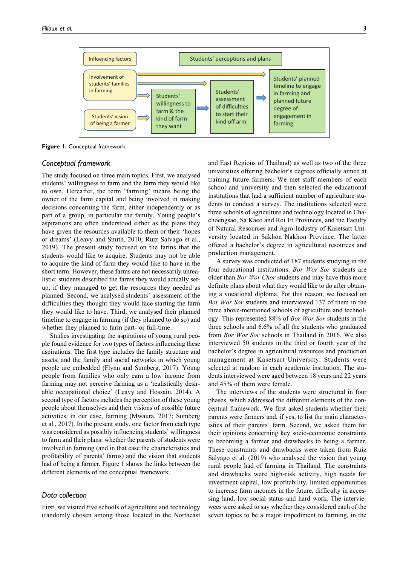

Figure 1. Conceptual framework.

### Conceptual framework

The study focused on three main topics. First, we analysed students' willingness to farm and the farm they would like to own. Hereafter, the term 'farming' means being the owner of the farm capital and being involved in making decisions concerning the farm, either independently or as part of a group, in particular the family. Young people's aspirations are often understood either as the plans they have given the resources available to them or their 'hopes or dreams' (Leavy and Smith, 2010; Ruiz Salvago et al., 2019). The present study focused on the farms that the students would like to acquire. Students may not be able to acquire the kind of farm they would like to have in the short term. However, these farms are not necessarily unrealistic: students described the farms they would actually setup, if they managed to get the resources they needed as planned. Second, we analysed students' assessment of the difficulties they thought they would face starting the farm they would like to have. Third, we analysed their planned timeline to engage in farming (if they planned to do so) and whether they planned to farm part- or full-time.

Studies investigating the aspirations of young rural people found evidence for two types of factors influencing these aspirations. The first type includes the family structure and assets, and the family and social networks in which young people are embedded (Flynn and Sumberg, 2017). Young people from families who only earn a low income from farming may not perceive farming as a 'realistically desirable occupational choice' (Leavy and Hossain, 2014). A second type of factors includes the perception of these young people about themselves and their visions of possible future activities, in our case, farming (Mwaura, 2017; Sumberg et al., 2017). In the present study, one factor from each type was considered as possibly influencing students' willingness to farm and their plans: whether the parents of students were involved in farming (and in that case the characteristics and profitability of parents' farms) and the vision that students had of being a farmer. Figure 1 shows the links between the different elements of the conceptual framework.

## Data collection

First, we visited five schools of agriculture and technology (randomly chosen among those located in the Northeast and East Regions of Thailand) as well as two of the three universities offering bachelor's degrees officially aimed at training future farmers. We met staff members of each school and university and then selected the educational institutions that had a sufficient number of agriculture students to conduct a survey. The institutions selected were three schools of agriculture and technology located in Chachoengsao, Sa Kaeo and Roi Et Provinces, and the Faculty of Natural Resources and Agro-Industry of Kasetsart University located in Sakhon Nakhon Province. The latter offered a bachelor's degree in agricultural resources and production management.

A survey was conducted of 187 students studying in the four educational institutions. Bor Wor Sor students are older than Bor Wor Chor students and may have thus more definite plans about what they would like to do after obtaining a vocational diploma. For this reason, we focused on Bor Wor Sor students and interviewed 137 of them in the three above-mentioned schools of agriculture and technology. This represented 88% of Bor Wor Sor students in the three schools and 6.6% of all the students who graduated from Bor Wor Sor schools in Thailand in 2016. We also interviewed 50 students in the third or fourth year of the bachelor's degree in agricultural resources and production management at Kasetsart University. Students were selected at random in each academic institution. The students interviewed were aged between 18 years and 22 years and 45% of them were female.

The interviews of the students were structured in four phases, which addressed the different elements of the conceptual framework. We first asked students whether their parents were farmers and, if yes, to list the main characteristics of their parents' farm. Second, we asked them for their opinions concerning key socio-economic constraints to becoming a farmer and drawbacks to being a farmer. These constraints and drawbacks were taken from Ruiz Salvago et al. (2019) who analysed the vision that young rural people had of farming in Thailand. The constraints and drawbacks were high-risk activity, high needs for investment capital, low profitability, limited opportunities to increase farm incomes in the future, difficulty in accessing land, low social status and hard work. The interviewees were asked to say whether they considered each of the seven topics to be a major impediment to farming, in the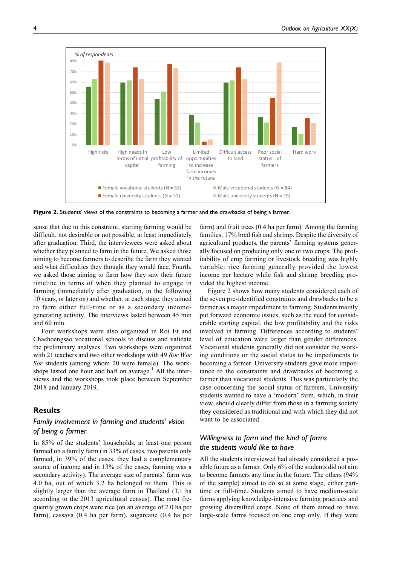

Figure 2. Students' views of the constraints to becoming a farmer and the drawbacks of being a farmer.

sense that due to this constraint, starting farming would be difficult, not desirable or not possible, at least immediately after graduation. Third, the interviewees were asked about whether they planned to farm in the future. We asked those aiming to become farmers to describe the farm they wanted and what difficulties they thought they would face. Fourth, we asked those aiming to farm how they saw their future timeline in terms of when they planned to engage in farming (immediately after graduation, in the following 10 years, or later on) and whether, at each stage, they aimed to farm either full-time or as a secondary incomegenerating activity. The interviews lasted between 45 min and 60 min.

Four workshops were also organized in Roi Et and Chachoengsao vocational schools to discuss and validate the preliminary analyses. Two workshops were organized with 21 teachers and two other workshops with 49 Bor Wor Sor students (among whom 20 were female). The workshops lasted one hour and half on average.<sup>1</sup> All the interviews and the workshops took place between September 2018 and January 2019.

## **Results**

# Family involvement in farming and students' vision of being a farmer

In 85% of the students' households, at least one person farmed on a family farm (in 33% of cases, two parents only farmed, in 39% of the cases, they had a complementary source of income and in 13% of the cases, farming was a secondary activity). The average size of parents' farm was 4.0 ha, out of which 3.2 ha belonged to them. This is slightly larger than the average farm in Thailand (3.1 ha according to the 2013 agricultural census). The most frequently grown crops were rice (on an average of 2.0 ha per farm), cassava (0.4 ha per farm), sugarcane (0.4 ha per farm) and fruit trees (0.4 ha per farm). Among the farming families, 17% bred fish and shrimp. Despite the diversity of agricultural products, the parents' farming systems generally focused on producing only one or two crops. The profitability of crop farming or livestock breeding was highly variable: rice farming generally provided the lowest income per hectare while fish and shrimp breeding provided the highest income.

Figure 2 shows how many students considered each of the seven pre-identified constraints and drawbacks to be a farmer as a major impediment to farming. Students mainly put forward economic issues, such as the need for considerable starting capital, the low profitability and the risks involved in farming. Differences according to students' level of education were larger than gender differences. Vocational students generally did not consider the working conditions or the social status to be impediments to becoming a farmer. University students gave more importance to the constraints and drawbacks of becoming a farmer than vocational students. This was particularly the case concerning the social status of farmers. University students wanted to have a 'modern' farm, which, in their view, should clearly differ from those in a farming society they considered as traditional and with which they did not want to be associated.

# Willingness to farm and the kind of farms the students would like to have

All the students interviewed had already considered a possible future as a farmer. Only 6% of the students did not aim to become farmers any time in the future. The others (94% of the sample) aimed to do so at some stage, either parttime or full-time. Students aimed to have medium-scale farms applying knowledge-intensive farming practices and growing diversified crops. None of them aimed to have large-scale farms focused on one crop only. If they were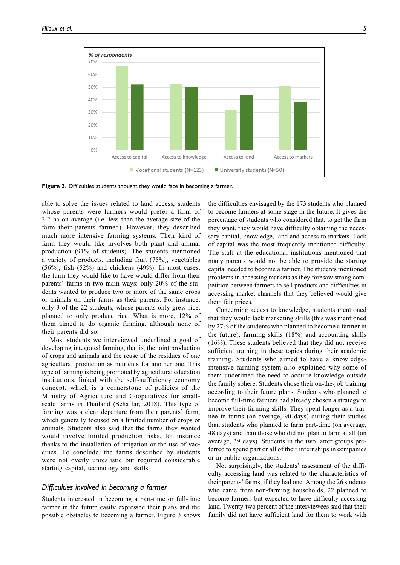

Figure 3. Difficulties students thought they would face in becoming a farmer.

able to solve the issues related to land access, students whose parents were farmers would prefer a farm of 3.2 ha on average (i.e. less than the average size of the farm their parents farmed). However, they described much more intensive farming systems. Their kind of farm they would like involves both plant and animal production (91% of students). The students mentioned a variety of products, including fruit (75%), vegetables  $(56\%)$ , fish  $(52\%)$  and chickens  $(49\%)$ . In most cases, the farm they would like to have would differ from their parents' farms in two main ways: only 20% of the students wanted to produce two or more of the same crops or animals on their farms as their parents. For instance, only 3 of the 22 students, whose parents only grew rice, planned to only produce rice. What is more, 12% of them aimed to do organic farming, although none of their parents did so.

Most students we interviewed underlined a goal of developing integrated farming, that is, the joint production of crops and animals and the reuse of the residues of one agricultural production as nutrients for another one. This type of farming is being promoted by agricultural education institutions, linked with the self-sufficiency economy concept, which is a cornerstone of policies of the Ministry of Agriculture and Cooperatives for smallscale farms in Thailand (Schaffar, 2018). This type of farming was a clear departure from their parents' farm, which generally focused on a limited number of crops or animals. Students also said that the farms they wanted would involve limited production risks, for instance thanks to the installation of irrigation or the use of vaccines. To conclude, the farms described by students were not overly unrealistic but required considerable starting capital, technology and skills.

### Difficulties involved in becoming a farmer

Students interested in becoming a part-time or full-time farmer in the future easily expressed their plans and the possible obstacles to becoming a farmer. Figure 3 shows the difficulties envisaged by the 173 students who planned to become farmers at some stage in the future. It gives the percentage of students who considered that, to get the farm they want, they would have difficulty obtaining the necessary capital, knowledge, land and access to markets. Lack of capital was the most frequently mentioned difficulty. The staff at the educational institutions mentioned that many parents would not be able to provide the starting capital needed to become a farmer. The students mentioned problems in accessing markets as they foresaw strong competition between farmers to sell products and difficulties in accessing market channels that they believed would give them fair prices.

Concerning access to knowledge, students mentioned that they would lack marketing skills (this was mentioned by 27% of the students who planned to become a farmer in the future), farming skills (18%) and accounting skills (16%). These students believed that they did not receive sufficient training in these topics during their academic training. Students who aimed to have a knowledgeintensive farming system also explained why some of them underlined the need to acquire knowledge outside the family sphere. Students chose their on-the-job training according to their future plans. Students who planned to become full-time farmers had already chosen a strategy to improve their farming skills. They spent longer as a trainee in farms (on average, 90 days) during their studies than students who planned to farm part-time (on average, 48 days) and than those who did not plan to farm at all (on average, 39 days). Students in the two latter groups preferred to spend part or all of their internships in companies or in public organizations.

Not surprisingly, the students' assessment of the difficulty accessing land was related to the characteristics of their parents' farms, if they had one. Among the 26 students who came from non-farming households, 22 planned to become farmers but expected to have difficulty accessing land. Twenty-two percent of the interviewees said that their family did not have sufficient land for them to work with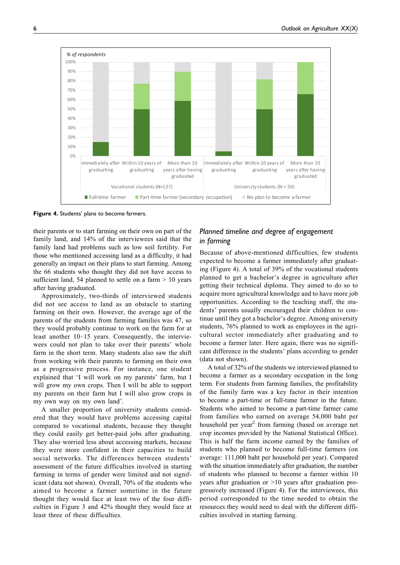

Figure 4. Students' plans to become farmers.

their parents or to start farming on their own on part of the family land, and 14% of the interviewees said that the family land had problems such as low soil fertility. For those who mentioned accessing land as a difficulty, it had generally an impact on their plans to start farming. Among the 66 students who thought they did not have access to sufficient land, 54 planned to settle on a farm  $> 10$  years after having graduated.

Approximately, two-thirds of interviewed students did not see access to land as an obstacle to starting farming on their own. However, the average age of the parents of the students from farming families was 47, so they would probably continue to work on the farm for at least another 10–15 years. Consequently, the interviewees could not plan to take over their parents' whole farm in the short term. Many students also saw the shift from working with their parents to farming on their own as a progressive process. For instance, one student explained that 'I will work on my parents' farm, but I will grow my own crops. Then I will be able to support my parents on their farm but I will also grow crops in my own way on my own land'.

A smaller proportion of university students considered that they would have problems accessing capital compared to vocational students, because they thought they could easily get better-paid jobs after graduating. They also worried less about accessing markets, because they were more confident in their capacities to build social networks. The differences between students' assessment of the future difficulties involved in starting farming in terms of gender were limited and not significant (data not shown). Overall, 70% of the students who aimed to become a farmer sometime in the future thought they would face at least two of the four difficulties in Figure 3 and 42% thought they would face at least three of these difficulties.

# Planned timeline and degree of engagement in farming

Because of above-mentioned difficulties, few students expected to become a farmer immediately after graduating (Figure 4). A total of 39% of the vocational students planned to get a bachelor's degree in agriculture after getting their technical diploma. They aimed to do so to acquire more agricultural knowledge and to have more job opportunities. According to the teaching staff, the students' parents usually encouraged their children to continue until they got a bachelor's degree. Among university students, 76% planned to work as employees in the agricultural sector immediately after graduating and to become a farmer later. Here again, there was no significant difference in the students' plans according to gender (data not shown).

A total of 32% of the students we interviewed planned to become a farmer as a secondary occupation in the long term. For students from farming families, the profitability of the family farm was a key factor in their intention to become a part-time or full-time farmer in the future. Students who aimed to become a part-time farmer came from families who earned on average 54,000 baht per household per year<sup>2</sup> from farming (based on average net crop incomes provided by the National Statistical Office). This is half the farm income earned by the families of students who planned to become full-time farmers (on average: 111,000 baht per household per year). Compared with the situation immediately after graduation, the number of students who planned to become a farmer within 10 years after graduation or >10 years after graduation progressively increased (Figure 4). For the interviewees, this period corresponded to the time needed to obtain the resources they would need to deal with the different difficulties involved in starting farming.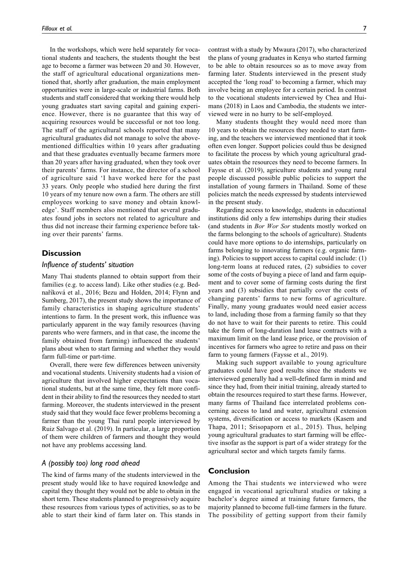In the workshops, which were held separately for vocational students and teachers, the students thought the best age to become a farmer was between 20 and 30. However, the staff of agricultural educational organizations mentioned that, shortly after graduation, the main employment opportunities were in large-scale or industrial farms. Both students and staff considered that working there would help young graduates start saving capital and gaining experience. However, there is no guarantee that this way of acquiring resources would be successful or not too long. The staff of the agricultural schools reported that many agricultural graduates did not manage to solve the abovementioned difficulties within 10 years after graduating and that these graduates eventually became farmers more than 20 years after having graduated, when they took over their parents' farms. For instance, the director of a school of agriculture said 'I have worked here for the past 33 years. Only people who studied here during the first 10 years of my tenure now own a farm. The others are still employees working to save money and obtain knowledge'. Staff members also mentioned that several graduates found jobs in sectors not related to agriculture and thus did not increase their farming experience before taking over their parents' farms.

## **Discussion**

### Influence of students' situation

Many Thai students planned to obtain support from their families (e.g. to access land). Like other studies (e.g. Bednaříková et al., 2016; Bezu and Holden, 2014; Flynn and Sumberg, 2017), the present study shows the importance of family characteristics in shaping agriculture students' intentions to farm. In the present work, this influence was particularly apparent in the way family resources (having parents who were farmers, and in that case, the income the family obtained from farming) influenced the students' plans about when to start farming and whether they would farm full-time or part-time.

Overall, there were few differences between university and vocational students. University students had a vision of agriculture that involved higher expectations than vocational students, but at the same time, they felt more confident in their ability to find the resources they needed to start farming. Moreover, the students interviewed in the present study said that they would face fewer problems becoming a farmer than the young Thai rural people interviewed by Ruiz Salvago et al. (2019). In particular, a large proportion of them were children of farmers and thought they would not have any problems accessing land.

### A (possibly too) long road ahead

The kind of farms many of the students interviewed in the present study would like to have required knowledge and capital they thought they would not be able to obtain in the short term. These students planned to progressively acquire these resources from various types of activities, so as to be able to start their kind of farm later on. This stands in

contrast with a study by Mwaura (2017), who characterized the plans of young graduates in Kenya who started farming to be able to obtain resources so as to move away from farming later. Students interviewed in the present study accepted the 'long road' to becoming a farmer, which may involve being an employee for a certain period. In contrast to the vocational students interviewed by Chea and Hui-

viewed were in no hurry to be self-employed. Many students thought they would need more than 10 years to obtain the resources they needed to start farming, and the teachers we interviewed mentioned that it took often even longer. Support policies could thus be designed to facilitate the process by which young agricultural graduates obtain the resources they need to become farmers. In Faysse et al. (2019), agriculture students and young rural people discussed possible public policies to support the installation of young farmers in Thailand. Some of these policies match the needs expressed by students interviewed in the present study.

mans (2018) in Laos and Cambodia, the students we inter-

Regarding access to knowledge, students in educational institutions did only a few internships during their studies (and students in Bor Wor Sor students mostly worked on the farms belonging to the schools of agriculture). Students could have more options to do internships, particularly on farms belonging to innovating farmers (e.g. organic farming). Policies to support access to capital could include: (1) long-term loans at reduced rates, (2) subsidies to cover some of the costs of buying a piece of land and farm equipment and to cover some of farming costs during the first years and (3) subsidies that partially cover the costs of changing parents' farms to new forms of agriculture. Finally, many young graduates would need easier access to land, including those from a farming family so that they do not have to wait for their parents to retire. This could take the form of long-duration land lease contracts with a maximum limit on the land lease price, or the provision of incentives for farmers who agree to retire and pass on their farm to young farmers (Faysse et al., 2019).

Making such support available to young agriculture graduates could have good results since the students we interviewed generally had a well-defined farm in mind and since they had, from their initial training, already started to obtain the resources required to start these farms. However, many farms of Thailand face interrelated problems concerning access to land and water, agricultural extension systems, diversification or access to markets (Kasem and Thapa, 2011; Srisopaporn et al., 2015). Thus, helping young agricultural graduates to start farming will be effective insofar as the support is part of a wider strategy for the agricultural sector and which targets family farms.

### Conclusion

Among the Thai students we interviewed who were engaged in vocational agricultural studies or taking a bachelor's degree aimed at training future farmers, the majority planned to become full-time farmers in the future. The possibility of getting support from their family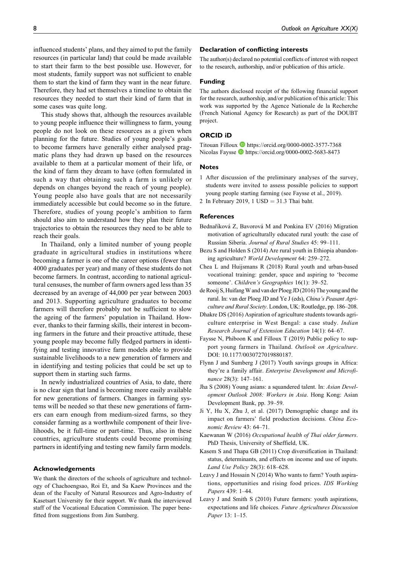influenced students' plans, and they aimed to put the family resources (in particular land) that could be made available to start their farm to the best possible use. However, for most students, family support was not sufficient to enable them to start the kind of farm they want in the near future. Therefore, they had set themselves a timeline to obtain the resources they needed to start their kind of farm that in some cases was quite long.

This study shows that, although the resources available to young people influence their willingness to farm, young people do not look on these resources as a given when planning for the future. Studies of young people's goals to become farmers have generally either analysed pragmatic plans they had drawn up based on the resources available to them at a particular moment of their life, or the kind of farm they dream to have (often formulated in such a way that obtaining such a farm is unlikely or depends on changes beyond the reach of young people). Young people also have goals that are not necessarily immediately accessible but could become so in the future. Therefore, studies of young people's ambition to farm should also aim to understand how they plan their future trajectories to obtain the resources they need to be able to reach their goals.

In Thailand, only a limited number of young people graduate in agricultural studies in institutions where becoming a farmer is one of the career options (fewer than 4000 graduates per year) and many of these students do not become farmers. In contrast, according to national agricultural censuses, the number of farm owners aged less than 35 decreased by an average of 44,000 per year between 2003 and 2013. Supporting agriculture graduates to become farmers will therefore probably not be sufficient to slow the ageing of the farmers' population in Thailand. However, thanks to their farming skills, their interest in becoming farmers in the future and their proactive attitude, these young people may become fully fledged partners in identifying and testing innovative farm models able to provide sustainable livelihoods to a new generation of farmers and in identifying and testing policies that could be set up to support them in starting such farms.

In newly industrialized countries of Asia, to date, there is no clear sign that land is becoming more easily available for new generations of farmers. Changes in farming systems will be needed so that these new generations of farmers can earn enough from medium-sized farms, so they consider farming as a worthwhile component of their livelihoods, be it full-time or part-time. Thus, also in these countries, agriculture students could become promising partners in identifying and testing new family farm models.

### Acknowledgements

We thank the directors of the schools of agriculture and technology of Chachoengsao, Roi Et, and Sa Kaew Provinces and the dean of the Faculty of Natural Resources and Agro-Industry of Kasetsart University for their support. We thank the interviewed staff of the Vocational Education Commission. The paper benefitted from suggestions from Jim Sumberg.

#### Declaration of conflicting interests

The author(s) declared no potential conflicts of interest with respect to the research, authorship, and/or publication of this article.

### Funding

The authors disclosed receipt of the following financial support for the research, authorship, and/or publication of this article: This work was supported by the Agence Nationale de la Recherche (French National Agency for Research) as part of the DOUBT project.

### ORCID iD

Titouan Filloux  $\bullet$  <https://orcid.org/0000-0002-3577-7368> Nicolas Faysse <https://orcid.org/0000-0002-5683-8473>

#### Notes

- 1 After discussion of the preliminary analyses of the survey, students were invited to assess possible policies to support young people starting farming (see Faysse et al., 2019).
- 2 In February 2019, 1 USD =  $31.3$  Thai baht.

### **References**

- Bednaříková Z, Bavorová M and Ponkina EV (2016) Migration motivation of agriculturally educated rural youth: the case of Russian Siberia. Journal of Rural Studies 45: 99–111.
- Bezu S and Holden S (2014) Are rural youth in Ethiopia abandoning agriculture? World Development 64: 259–272.
- Chea L and Huijsmans R (2018) Rural youth and urban-based vocational training: gender, space and aspiring to 'become someone'. Children's Geographies 16(1): 39-52.
- de Rooij S, Huifang W and van der Ploeg JD (2016) The young and the rural. In: van der Ploeg JD and Ye J (eds), China's Peasant Agriculture and Rural Society. London, UK: Routledge, pp. 186–208.
- Dhakre DS (2016) Aspiration of agriculture students towards agriculture enterprise in West Bengal: a case study. Indian Research Journal of Extension Education 14(1): 64–67.
- Faysse N, Phiboon K and Filloux T (2019) Public policy to support young farmers in Thailand. Outlook on Agriculture. DOI: 10.1177/0030727019880187.
- Flynn J and Sumberg J (2017) Youth savings groups in Africa: they're a family affair. Enterprise Development and Microfinance 28(3): 147–161.
- Jha S (2008) Young asians: a squandered talent. In: Asian Development Outlook 2008: Workers in Asia. Hong Kong: Asian Development Bank, pp. 39–59.
- Ji Y, Hu X, Zhu J, et al. (2017) Demographic change and its impact on farmers' field production decisions. China Economic Review 43: 64–71.
- Kaewanan W (2016) Occupational health of Thai older farmers. PhD Thesis, University of Sheffield, UK.
- Kasem S and Thapa GB (2011) Crop diversification in Thailand: status, determinants, and effects on income and use of inputs. Land Use Policy 28(3): 618–628.
- Leavy J and Hossain N (2014) Who wants to farm? Youth aspirations, opportunities and rising food prices. IDS Working Papers 439: 1–44.
- Leavy J and Smith S (2010) Future farmers: youth aspirations, expectations and life choices. Future Agricultures Discussion Paper 13: 1–15.